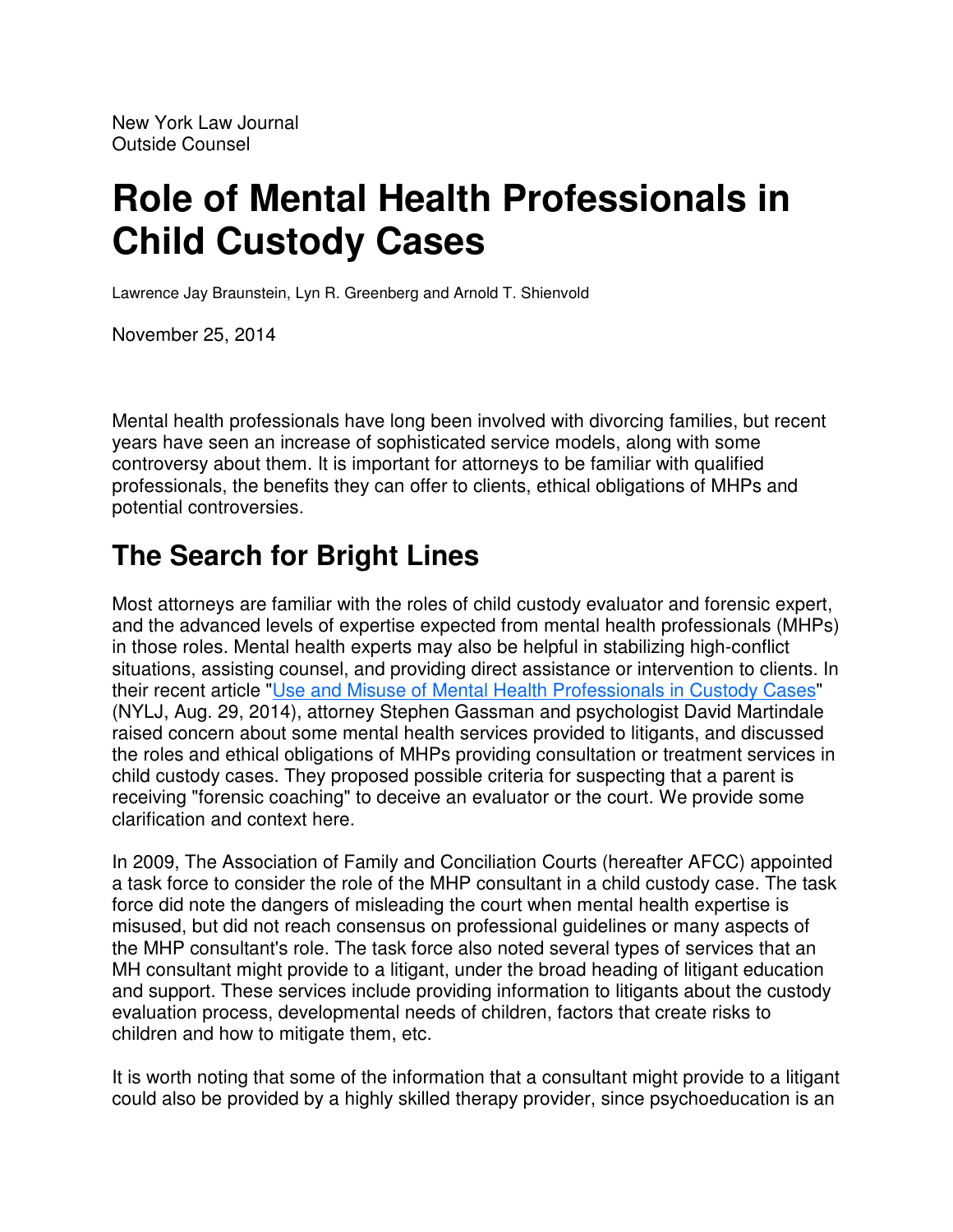# **Role of Mental Health Professionals in Child Custody Cases**

Lawrence Jay Braunstein, Lyn R. Greenberg and Arnold T. Shienvold

November 25, 2014

Mental health professionals have long been involved with divorcing families, but recent years have seen an increase of sophisticated service models, along with some controversy about them. It is important for attorneys to be familiar with qualified professionals, the benefits they can offer to clients, ethical obligations of MHPs and potential controversies.

### **The Search for Bright Lines**

Most attorneys are familiar with the roles of child custody evaluator and forensic expert, and the advanced levels of expertise expected from mental health professionals (MHPs) in those roles. Mental health experts may also be helpful in stabilizing high-conflict situations, assisting counsel, and providing direct assistance or intervention to clients. In their recent article "Use and Misuse of Mental Health Professionals in Custody Cases" (NYLJ, Aug. 29, 2014), attorney Stephen Gassman and psychologist David Martindale raised concern about some mental health services provided to litigants, and discussed the roles and ethical obligations of MHPs providing consultation or treatment services in child custody cases. They proposed possible criteria for suspecting that a parent is receiving "forensic coaching" to deceive an evaluator or the court. We provide some clarification and context here.

In 2009, The Association of Family and Conciliation Courts (hereafter AFCC) appointed a task force to consider the role of the MHP consultant in a child custody case. The task force did note the dangers of misleading the court when mental health expertise is misused, but did not reach consensus on professional guidelines or many aspects of the MHP consultant's role. The task force also noted several types of services that an MH consultant might provide to a litigant, under the broad heading of litigant education and support. These services include providing information to litigants about the custody evaluation process, developmental needs of children, factors that create risks to children and how to mitigate them, etc.

It is worth noting that some of the information that a consultant might provide to a litigant could also be provided by a highly skilled therapy provider, since psychoeducation is an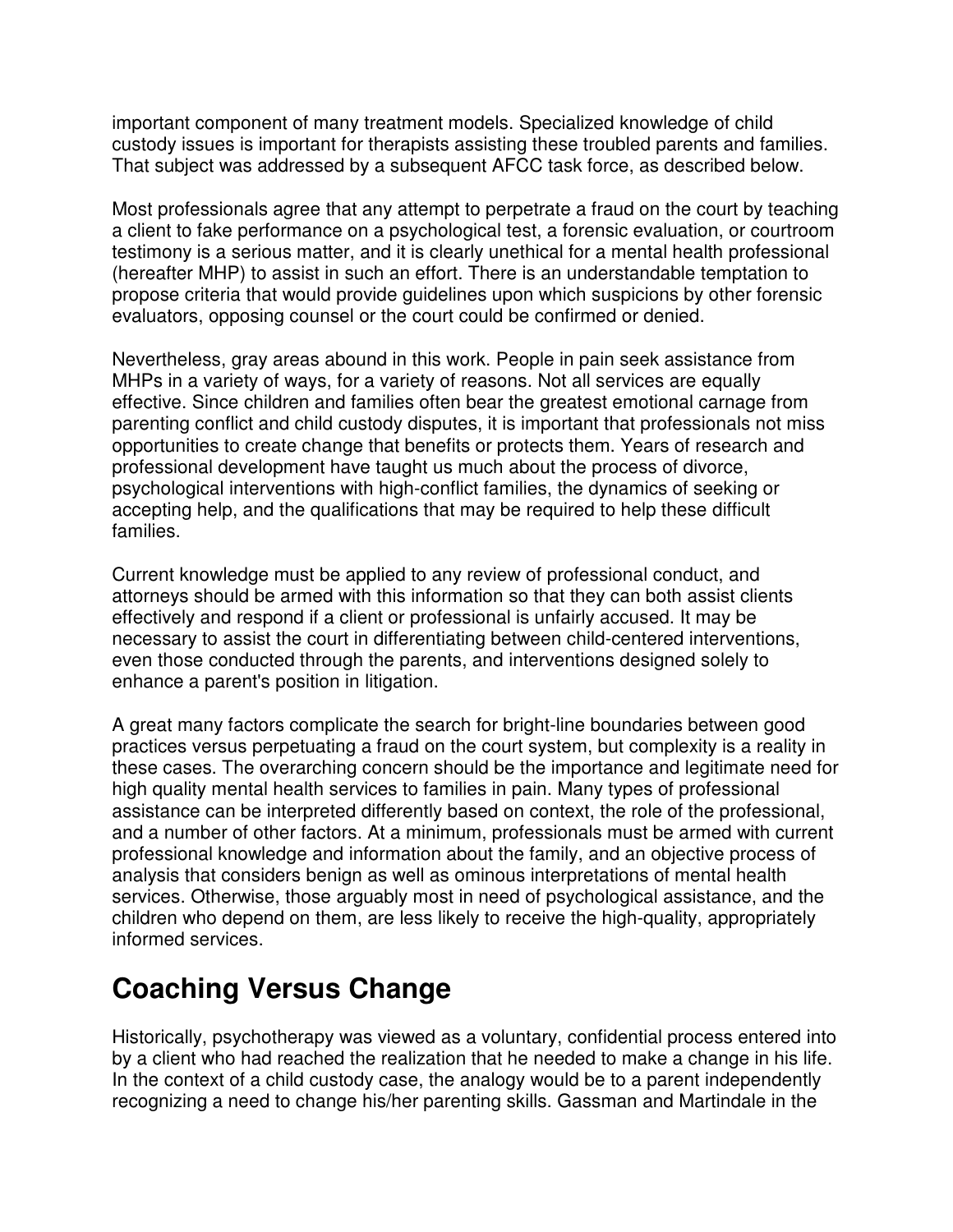important component of many treatment models. Specialized knowledge of child custody issues is important for therapists assisting these troubled parents and families. That subject was addressed by a subsequent AFCC task force, as described below.

Most professionals agree that any attempt to perpetrate a fraud on the court by teaching a client to fake performance on a psychological test, a forensic evaluation, or courtroom testimony is a serious matter, and it is clearly unethical for a mental health professional (hereafter MHP) to assist in such an effort. There is an understandable temptation to propose criteria that would provide guidelines upon which suspicions by other forensic evaluators, opposing counsel or the court could be confirmed or denied.

Nevertheless, gray areas abound in this work. People in pain seek assistance from MHPs in a variety of ways, for a variety of reasons. Not all services are equally effective. Since children and families often bear the greatest emotional carnage from parenting conflict and child custody disputes, it is important that professionals not miss opportunities to create change that benefits or protects them. Years of research and professional development have taught us much about the process of divorce, psychological interventions with high-conflict families, the dynamics of seeking or accepting help, and the qualifications that may be required to help these difficult families.

Current knowledge must be applied to any review of professional conduct, and attorneys should be armed with this information so that they can both assist clients effectively and respond if a client or professional is unfairly accused. It may be necessary to assist the court in differentiating between child-centered interventions, even those conducted through the parents, and interventions designed solely to enhance a parent's position in litigation.

A great many factors complicate the search for bright-line boundaries between good practices versus perpetuating a fraud on the court system, but complexity is a reality in these cases. The overarching concern should be the importance and legitimate need for high quality mental health services to families in pain. Many types of professional assistance can be interpreted differently based on context, the role of the professional, and a number of other factors. At a minimum, professionals must be armed with current professional knowledge and information about the family, and an objective process of analysis that considers benign as well as ominous interpretations of mental health services. Otherwise, those arguably most in need of psychological assistance, and the children who depend on them, are less likely to receive the high-quality, appropriately informed services.

### **Coaching Versus Change**

Historically, psychotherapy was viewed as a voluntary, confidential process entered into by a client who had reached the realization that he needed to make a change in his life. In the context of a child custody case, the analogy would be to a parent independently recognizing a need to change his/her parenting skills. Gassman and Martindale in the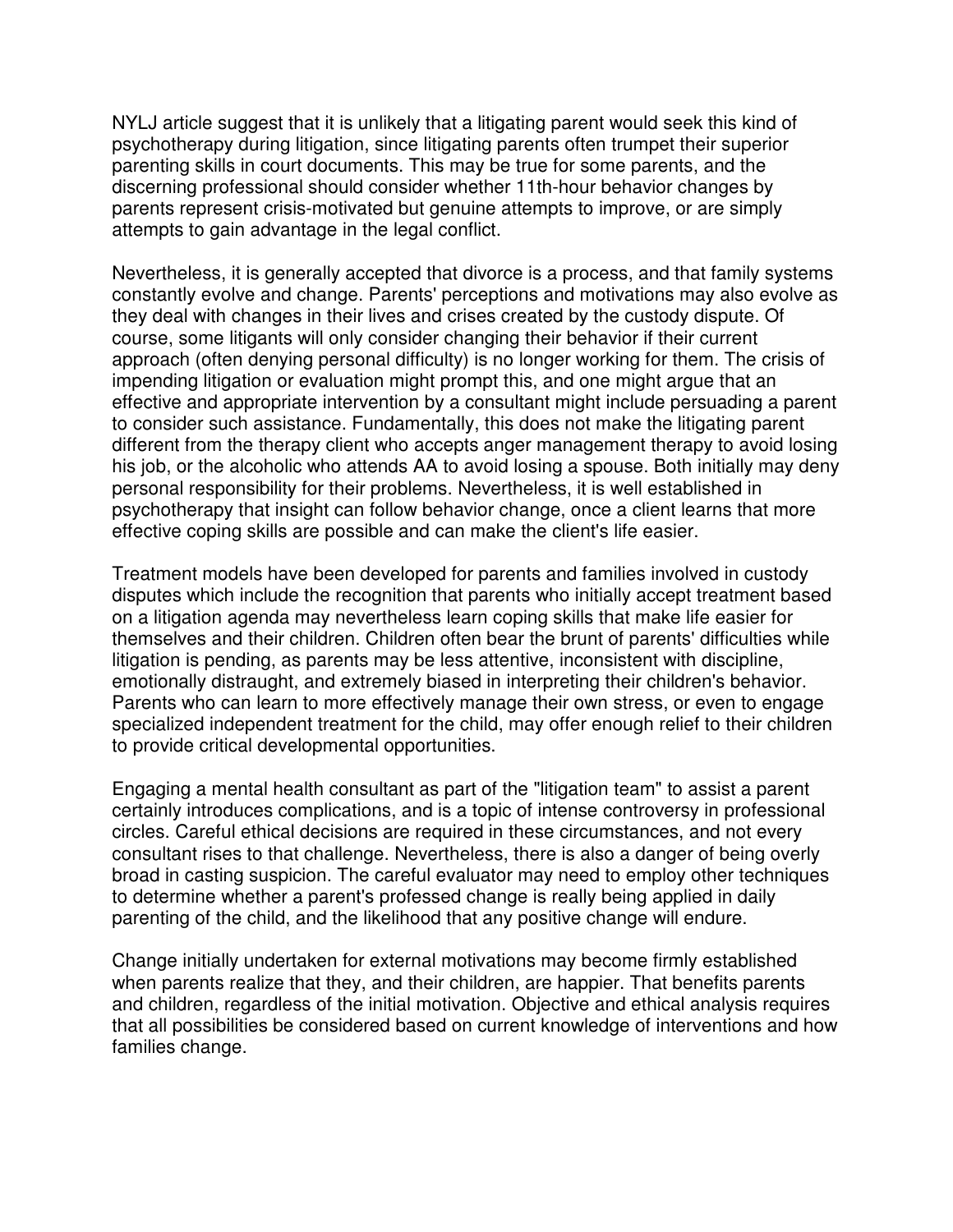NYLJ article suggest that it is unlikely that a litigating parent would seek this kind of psychotherapy during litigation, since litigating parents often trumpet their superior parenting skills in court documents. This may be true for some parents, and the discerning professional should consider whether 11th-hour behavior changes by parents represent crisis-motivated but genuine attempts to improve, or are simply attempts to gain advantage in the legal conflict.

Nevertheless, it is generally accepted that divorce is a process, and that family systems constantly evolve and change. Parents' perceptions and motivations may also evolve as they deal with changes in their lives and crises created by the custody dispute. Of course, some litigants will only consider changing their behavior if their current approach (often denying personal difficulty) is no longer working for them. The crisis of impending litigation or evaluation might prompt this, and one might argue that an effective and appropriate intervention by a consultant might include persuading a parent to consider such assistance. Fundamentally, this does not make the litigating parent different from the therapy client who accepts anger management therapy to avoid losing his job, or the alcoholic who attends AA to avoid losing a spouse. Both initially may deny personal responsibility for their problems. Nevertheless, it is well established in psychotherapy that insight can follow behavior change, once a client learns that more effective coping skills are possible and can make the client's life easier.

Treatment models have been developed for parents and families involved in custody disputes which include the recognition that parents who initially accept treatment based on a litigation agenda may nevertheless learn coping skills that make life easier for themselves and their children. Children often bear the brunt of parents' difficulties while litigation is pending, as parents may be less attentive, inconsistent with discipline, emotionally distraught, and extremely biased in interpreting their children's behavior. Parents who can learn to more effectively manage their own stress, or even to engage specialized independent treatment for the child, may offer enough relief to their children to provide critical developmental opportunities.

Engaging a mental health consultant as part of the "litigation team" to assist a parent certainly introduces complications, and is a topic of intense controversy in professional circles. Careful ethical decisions are required in these circumstances, and not every consultant rises to that challenge. Nevertheless, there is also a danger of being overly broad in casting suspicion. The careful evaluator may need to employ other techniques to determine whether a parent's professed change is really being applied in daily parenting of the child, and the likelihood that any positive change will endure.

Change initially undertaken for external motivations may become firmly established when parents realize that they, and their children, are happier. That benefits parents and children, regardless of the initial motivation. Objective and ethical analysis requires that all possibilities be considered based on current knowledge of interventions and how families change.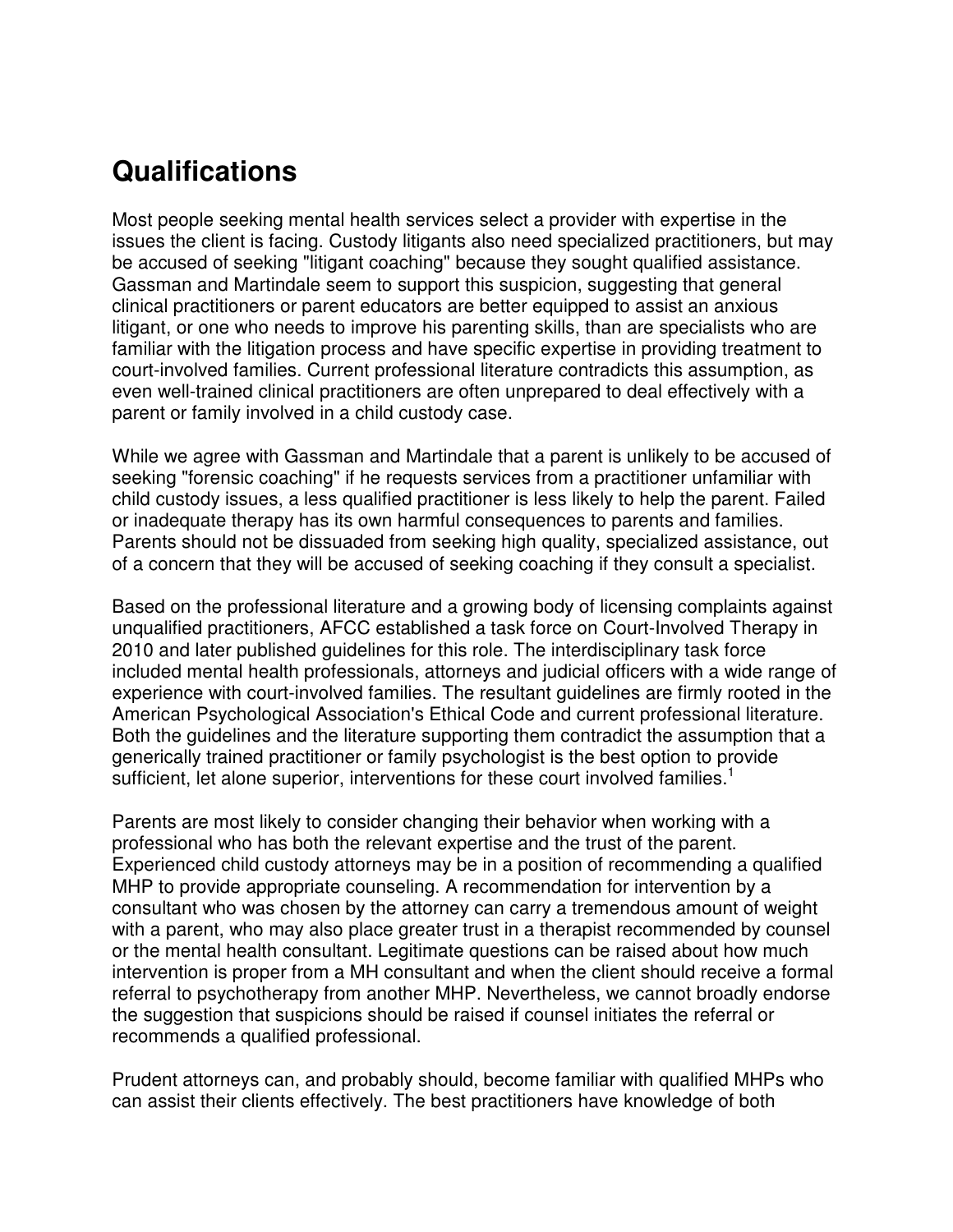#### **Qualifications**

Most people seeking mental health services select a provider with expertise in the issues the client is facing. Custody litigants also need specialized practitioners, but may be accused of seeking "litigant coaching" because they sought qualified assistance. Gassman and Martindale seem to support this suspicion, suggesting that general clinical practitioners or parent educators are better equipped to assist an anxious litigant, or one who needs to improve his parenting skills, than are specialists who are familiar with the litigation process and have specific expertise in providing treatment to court-involved families. Current professional literature contradicts this assumption, as even well-trained clinical practitioners are often unprepared to deal effectively with a parent or family involved in a child custody case.

While we agree with Gassman and Martindale that a parent is unlikely to be accused of seeking "forensic coaching" if he requests services from a practitioner unfamiliar with child custody issues, a less qualified practitioner is less likely to help the parent. Failed or inadequate therapy has its own harmful consequences to parents and families. Parents should not be dissuaded from seeking high quality, specialized assistance, out of a concern that they will be accused of seeking coaching if they consult a specialist.

Based on the professional literature and a growing body of licensing complaints against unqualified practitioners, AFCC established a task force on Court-Involved Therapy in 2010 and later published guidelines for this role. The interdisciplinary task force included mental health professionals, attorneys and judicial officers with a wide range of experience with court-involved families. The resultant guidelines are firmly rooted in the American Psychological Association's Ethical Code and current professional literature. Both the guidelines and the literature supporting them contradict the assumption that a generically trained practitioner or family psychologist is the best option to provide sufficient, let alone superior, interventions for these court involved families.<sup>1</sup>

Parents are most likely to consider changing their behavior when working with a professional who has both the relevant expertise and the trust of the parent. Experienced child custody attorneys may be in a position of recommending a qualified MHP to provide appropriate counseling. A recommendation for intervention by a consultant who was chosen by the attorney can carry a tremendous amount of weight with a parent, who may also place greater trust in a therapist recommended by counsel or the mental health consultant. Legitimate questions can be raised about how much intervention is proper from a MH consultant and when the client should receive a formal referral to psychotherapy from another MHP. Nevertheless, we cannot broadly endorse the suggestion that suspicions should be raised if counsel initiates the referral or recommends a qualified professional.

Prudent attorneys can, and probably should, become familiar with qualified MHPs who can assist their clients effectively. The best practitioners have knowledge of both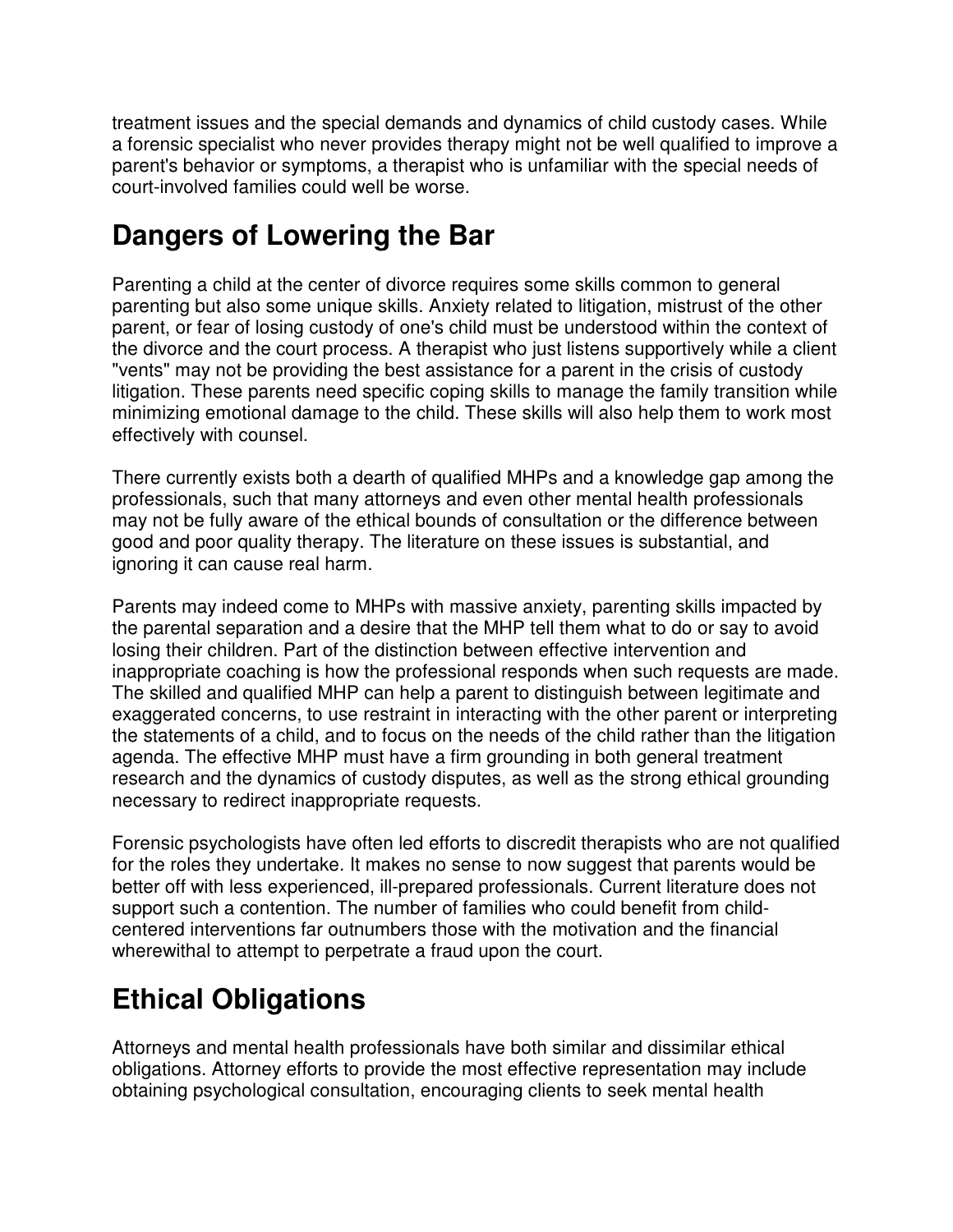treatment issues and the special demands and dynamics of child custody cases. While a forensic specialist who never provides therapy might not be well qualified to improve a parent's behavior or symptoms, a therapist who is unfamiliar with the special needs of court-involved families could well be worse.

### **Dangers of Lowering the Bar**

Parenting a child at the center of divorce requires some skills common to general parenting but also some unique skills. Anxiety related to litigation, mistrust of the other parent, or fear of losing custody of one's child must be understood within the context of the divorce and the court process. A therapist who just listens supportively while a client "vents" may not be providing the best assistance for a parent in the crisis of custody litigation. These parents need specific coping skills to manage the family transition while minimizing emotional damage to the child. These skills will also help them to work most effectively with counsel.

There currently exists both a dearth of qualified MHPs and a knowledge gap among the professionals, such that many attorneys and even other mental health professionals may not be fully aware of the ethical bounds of consultation or the difference between good and poor quality therapy. The literature on these issues is substantial, and ignoring it can cause real harm.

Parents may indeed come to MHPs with massive anxiety, parenting skills impacted by the parental separation and a desire that the MHP tell them what to do or say to avoid losing their children. Part of the distinction between effective intervention and inappropriate coaching is how the professional responds when such requests are made. The skilled and qualified MHP can help a parent to distinguish between legitimate and exaggerated concerns, to use restraint in interacting with the other parent or interpreting the statements of a child, and to focus on the needs of the child rather than the litigation agenda. The effective MHP must have a firm grounding in both general treatment research and the dynamics of custody disputes, as well as the strong ethical grounding necessary to redirect inappropriate requests.

Forensic psychologists have often led efforts to discredit therapists who are not qualified for the roles they undertake. It makes no sense to now suggest that parents would be better off with less experienced, ill-prepared professionals. Current literature does not support such a contention. The number of families who could benefit from childcentered interventions far outnumbers those with the motivation and the financial wherewithal to attempt to perpetrate a fraud upon the court.

## **Ethical Obligations**

Attorneys and mental health professionals have both similar and dissimilar ethical obligations. Attorney efforts to provide the most effective representation may include obtaining psychological consultation, encouraging clients to seek mental health